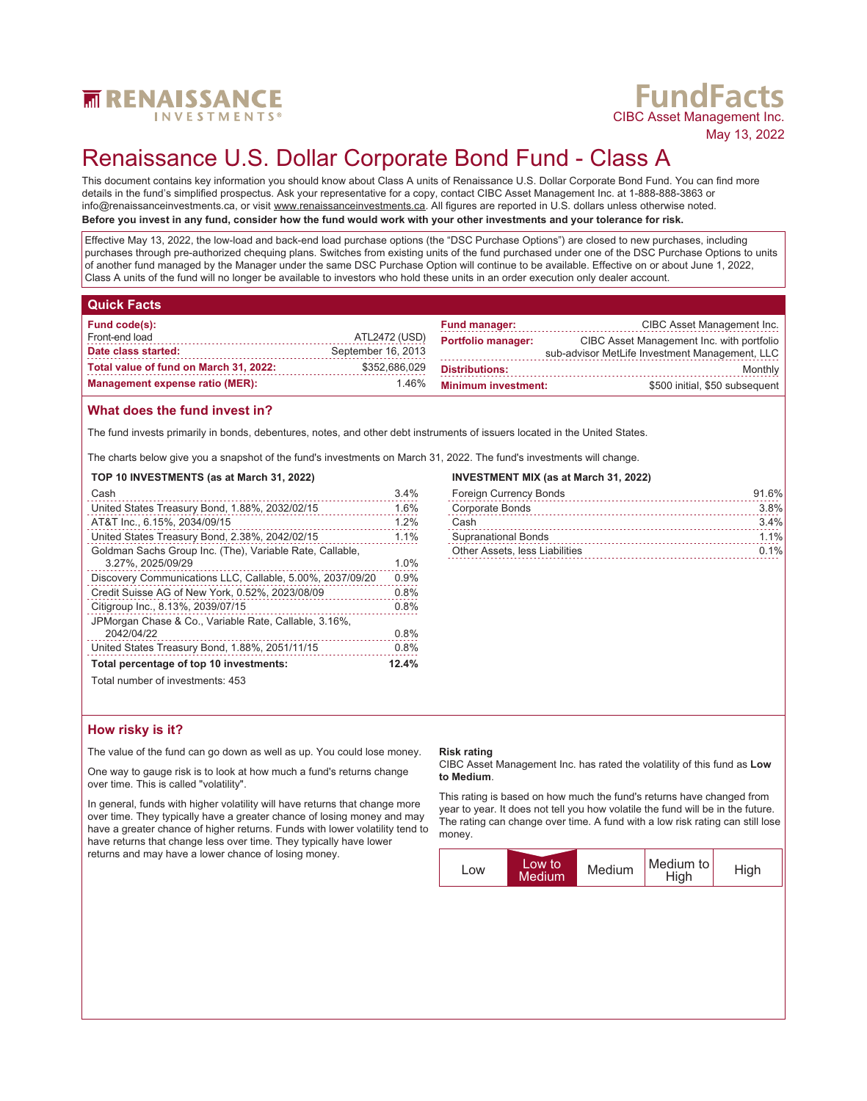

# **FundFacts**<br>CIBC Asset Management Inc.

May 13, 2022

# Renaissance U.S. Dollar Corporate Bond Fund - Class A

This document contains key information you should know about Class A units of Renaissance U.S. Dollar Corporate Bond Fund. You can find more details in the fund's simplified prospectus. Ask your representative for a copy, contact CIBC Asset Management Inc. at 1-888-888-3863 or info@renaissanceinvestments.ca, or visit www.renaissanceinvestments.ca. All figures are reported in U.S. dollars unless otherwise noted. **Before you invest in any fund, consider how the fund would work with your other investments and your tolerance for risk.**

Effective May 13, 2022, the low-load and back-end load purchase options (the "DSC Purchase Options") are closed to new purchases, including purchases through pre-authorized chequing plans. Switches from existing units of the fund purchased under one of the DSC Purchase Options to units of another fund managed by the Manager under the same DSC Purchase Option will continue to be available. Effective on or about June 1, 2022, Class A units of the fund will no longer be available to investors who hold these units in an order execution only dealer account.

# **Quick Facts**

| Fund code(s):                          |                    | <b>Fund manager:</b>       | CIBC Asset Management Inc.                     |
|----------------------------------------|--------------------|----------------------------|------------------------------------------------|
| Front-end load                         | ATL2472 (USD)      | <b>Portfolio manager:</b>  | CIBC Asset Management Inc. with portfolio      |
| Date class started:                    | September 16, 2013 |                            | sub-advisor MetLife Investment Management, LLC |
| Total value of fund on March 31, 2022: | \$352.686.029      | <b>Distributions:</b>      | Monthly                                        |
| <b>Management expense ratio (MER):</b> | 1.46%              | <b>Minimum investment:</b> | \$500 initial, \$50 subsequent                 |

# **What does the fund invest in?**

The fund invests primarily in bonds, debentures, notes, and other debt instruments of issuers located in the United States.

The charts below give you a snapshot of the fund's investments on March 31, 2022. The fund's investments will change.

### **TOP 10 INVESTMENTS (as at March 31, 2022)**

| Cash                                                      | 3.4% |
|-----------------------------------------------------------|------|
| United States Treasury Bond, 1.88%, 2032/02/15            | 1.6% |
| AT&T Inc., 6.15%, 2034/09/15                              | 1.2% |
| United States Treasury Bond, 2.38%, 2042/02/15            | 1.1% |
| Goldman Sachs Group Inc. (The), Variable Rate, Callable,  |      |
| 3.27%, 2025/09/29                                         | 1.0% |
| Discovery Communications LLC, Callable, 5.00%, 2037/09/20 | 0.9% |
| Credit Suisse AG of New York, 0.52%, 2023/08/09           | 0.8% |
| Citigroup Inc., 8.13%, 2039/07/15                         | 0.8% |
| JPMorgan Chase & Co., Variable Rate, Callable, 3.16%,     |      |
| 2042/04/22                                                | 0.8% |
| United States Treasury Bond, 1.88%, 2051/11/15            | 0.8% |
| Total percentage of top 10 investments:                   |      |
| Total number of investments: 453                          |      |

### **INVESTMENT MIX (as at March 31, 2022)**

| <b>Foreign Currency Bonds</b>  | 91.6%   |
|--------------------------------|---------|
| Corporate Bonds                | 3.8%    |
| Cash                           | 3.4%    |
| <b>Supranational Bonds</b>     | $1.1\%$ |
| Other Assets, less Liabilities | $0.1\%$ |

# **How risky is it?**

The value of the fund can go down as well as up. You could lose money.

One way to gauge risk is to look at how much a fund's returns change over time. This is called "volatility".

In general, funds with higher volatility will have returns that change more over time. They typically have a greater chance of losing money and may have a greater chance of higher returns. Funds with lower volatility tend to have returns that change less over time. They typically have lower returns and may have a lower chance of losing money.

### **Risk rating**

CIBC Asset Management Inc. has rated the volatility of this fund as **Low to Medium**.

This rating is based on how much the fund's returns have changed from year to year. It does not tell you how volatile the fund will be in the future. The rating can change over time. A fund with a low risk rating can still lose money.

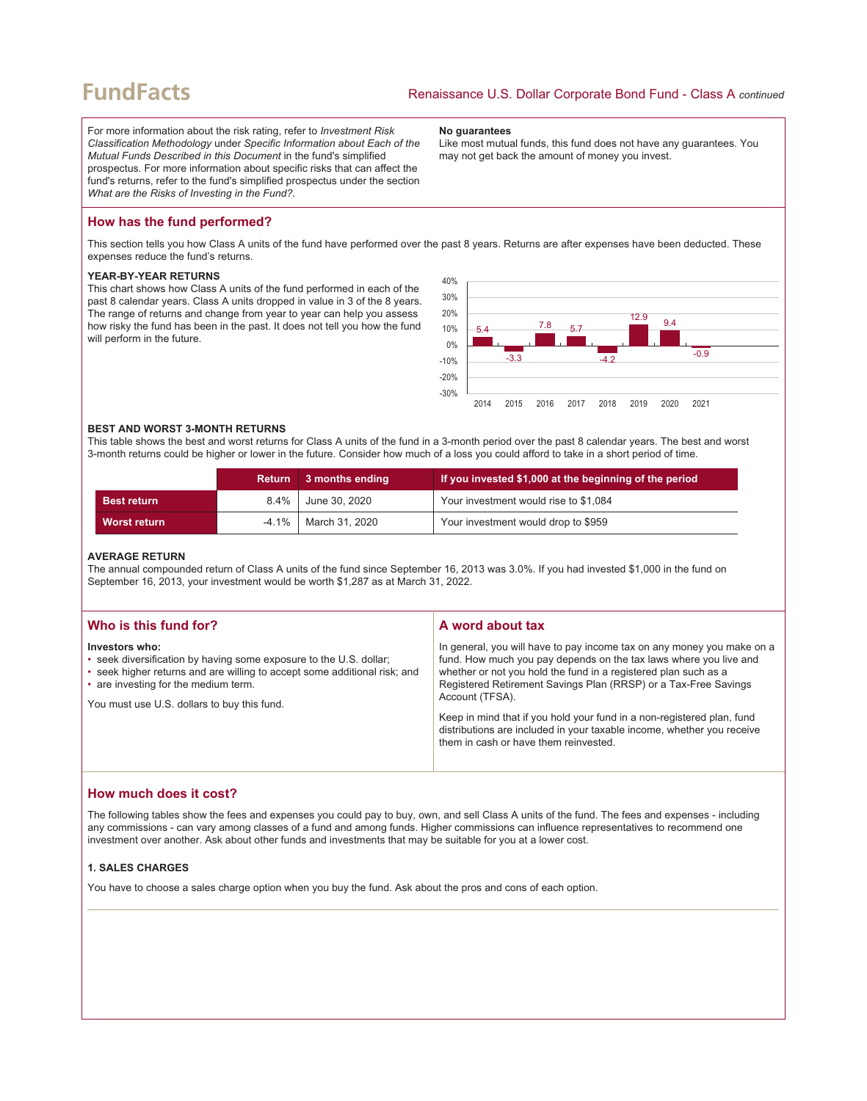# **FundFacts**

For more information about the risk rating, refer to *Investment Risk Classification Methodology* under *Specific Information about Each of the Mutual Funds Described in this Document* in the fund's simplified prospectus. For more information about specific risks that can affect the fund's returns, refer to the fund's simplified prospectus under the section *What are the Risks of Investing in the Fund?*.

#### **No guarantees**

Like most mutual funds, this fund does not have any guarantees. You may not get back the amount of money you invest.

# **How has the fund performed?**

This section tells you how Class A units of the fund have performed over the past 8 years. Returns are after expenses have been deducted. These expenses reduce the fund's returns.

#### **YEAR-BY-YEAR RETURNS**

This chart shows how Class A units of the fund performed in each of the past 8 calendar years. Class A units dropped in value in 3 of the 8 years. The range of returns and change from year to year can help you assess how risky the fund has been in the past. It does not tell you how the fund will perform in the future.



#### **BEST AND WORST 3-MONTH RETURNS**

This table shows the best and worst returns for Class A units of the fund in a 3-month period over the past 8 calendar years. The best and worst 3-month returns could be higher or lower in the future. Consider how much of a loss you could afford to take in a short period of time.

|                     | Return   | 3 months ending | If you invested \$1,000 at the beginning of the period |
|---------------------|----------|-----------------|--------------------------------------------------------|
| <b>Best return</b>  | $8.4\%$  | June 30. 2020   | Your investment would rise to \$1,084                  |
| <b>Worst return</b> | $-4.1\%$ | March 31, 2020  | Your investment would drop to \$959                    |

#### **AVERAGE RETURN**

The annual compounded return of Class A units of the fund since September 16, 2013 was 3.0%. If you had invested \$1,000 in the fund on September 16, 2013, your investment would be worth \$1,287 as at March 31, 2022.

| Who is this fund for?                                                                                                                                                                                                                                    | A word about tax                                                                                                                                                                                                                                                                                                                                                                                                                                                                                  |
|----------------------------------------------------------------------------------------------------------------------------------------------------------------------------------------------------------------------------------------------------------|---------------------------------------------------------------------------------------------------------------------------------------------------------------------------------------------------------------------------------------------------------------------------------------------------------------------------------------------------------------------------------------------------------------------------------------------------------------------------------------------------|
| Investors who:<br>• seek diversification by having some exposure to the U.S. dollar;<br>• seek higher returns and are willing to accept some additional risk; and<br>• are investing for the medium term.<br>You must use U.S. dollars to buy this fund. | In general, you will have to pay income tax on any money you make on a<br>fund. How much you pay depends on the tax laws where you live and<br>whether or not you hold the fund in a registered plan such as a<br>Registered Retirement Savings Plan (RRSP) or a Tax-Free Savings<br>Account (TFSA).<br>Keep in mind that if you hold your fund in a non-registered plan, fund<br>distributions are included in your taxable income, whether you receive<br>them in cash or have them reinvested. |

# **How much does it cost?**

The following tables show the fees and expenses you could pay to buy, own, and sell Class A units of the fund. The fees and expenses - including any commissions - can vary among classes of a fund and among funds. Higher commissions can influence representatives to recommend one investment over another. Ask about other funds and investments that may be suitable for you at a lower cost.

## **1. SALES CHARGES**

You have to choose a sales charge option when you buy the fund. Ask about the pros and cons of each option.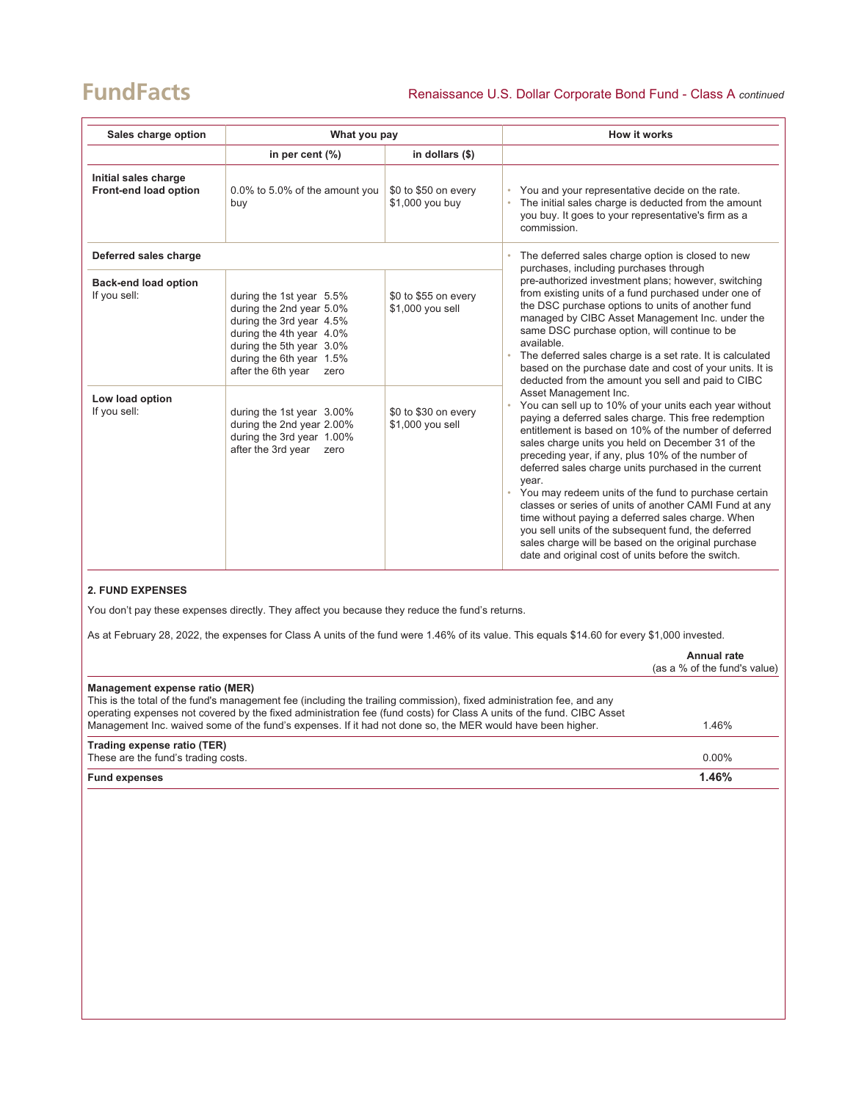# **FundFacts**

| Sales charge option                           | What you pay                                                                                                                                                                                       |                                          | <b>How it works</b>                                                                                                                                                                                                                                                                                                                                                                                                                                                                                                                                                                                                                                                                                                    |
|-----------------------------------------------|----------------------------------------------------------------------------------------------------------------------------------------------------------------------------------------------------|------------------------------------------|------------------------------------------------------------------------------------------------------------------------------------------------------------------------------------------------------------------------------------------------------------------------------------------------------------------------------------------------------------------------------------------------------------------------------------------------------------------------------------------------------------------------------------------------------------------------------------------------------------------------------------------------------------------------------------------------------------------------|
|                                               | in per cent $(\%)$                                                                                                                                                                                 | in dollars $(\$)$                        |                                                                                                                                                                                                                                                                                                                                                                                                                                                                                                                                                                                                                                                                                                                        |
| Initial sales charge<br>Front-end load option | 0.0% to 5.0% of the amount you<br>buy                                                                                                                                                              | \$0 to \$50 on every<br>\$1,000 you buy  | You and your representative decide on the rate.<br>The initial sales charge is deducted from the amount<br>you buy. It goes to your representative's firm as a<br>commission.                                                                                                                                                                                                                                                                                                                                                                                                                                                                                                                                          |
| Deferred sales charge                         |                                                                                                                                                                                                    |                                          | The deferred sales charge option is closed to new                                                                                                                                                                                                                                                                                                                                                                                                                                                                                                                                                                                                                                                                      |
| <b>Back-end load option</b><br>If you sell:   | during the 1st year 5.5%<br>during the 2nd year 5.0%<br>during the 3rd year 4.5%<br>during the 4th year 4.0%<br>during the 5th year 3.0%<br>during the 6th year 1.5%<br>after the 6th year<br>zero | \$0 to \$55 on every<br>\$1,000 you sell | purchases, including purchases through<br>pre-authorized investment plans; however, switching<br>from existing units of a fund purchased under one of<br>the DSC purchase options to units of another fund<br>managed by CIBC Asset Management Inc. under the<br>same DSC purchase option, will continue to be<br>available.<br>The deferred sales charge is a set rate. It is calculated<br>based on the purchase date and cost of your units. It is<br>deducted from the amount you sell and paid to CIBC                                                                                                                                                                                                            |
| Low load option<br>If you sell:               | during the 1st year 3.00%<br>during the 2nd year 2.00%<br>during the 3rd year 1.00%<br>after the 3rd year<br>zero                                                                                  | \$0 to \$30 on every<br>\$1,000 you sell | Asset Management Inc.<br>You can sell up to 10% of your units each year without<br>paying a deferred sales charge. This free redemption<br>entitlement is based on 10% of the number of deferred<br>sales charge units you held on December 31 of the<br>preceding year, if any, plus 10% of the number of<br>deferred sales charge units purchased in the current<br>year.<br>You may redeem units of the fund to purchase certain<br>classes or series of units of another CAMI Fund at any<br>time without paying a deferred sales charge. When<br>you sell units of the subsequent fund, the deferred<br>sales charge will be based on the original purchase<br>date and original cost of units before the switch. |

# **2. FUND EXPENSES**

You don't pay these expenses directly. They affect you because they reduce the fund's returns.

As at February 28, 2022, the expenses for Class A units of the fund were 1.46% of its value. This equals \$14.60 for every \$1,000 invested.

|                                                                                                                                                                                                                                                                                                                                                              | Annual rate<br>(as a % of the fund's value) |
|--------------------------------------------------------------------------------------------------------------------------------------------------------------------------------------------------------------------------------------------------------------------------------------------------------------------------------------------------------------|---------------------------------------------|
| Management expense ratio (MER)                                                                                                                                                                                                                                                                                                                               |                                             |
| This is the total of the fund's management fee (including the trailing commission), fixed administration fee, and any<br>operating expenses not covered by the fixed administration fee (fund costs) for Class A units of the fund. CIBC Asset<br>Management Inc. waived some of the fund's expenses. If it had not done so, the MER would have been higher. | 1.46%                                       |
| Trading expense ratio (TER)                                                                                                                                                                                                                                                                                                                                  |                                             |
| These are the fund's trading costs.                                                                                                                                                                                                                                                                                                                          | $0.00\%$                                    |
| <b>Fund expenses</b>                                                                                                                                                                                                                                                                                                                                         | 1.46%                                       |